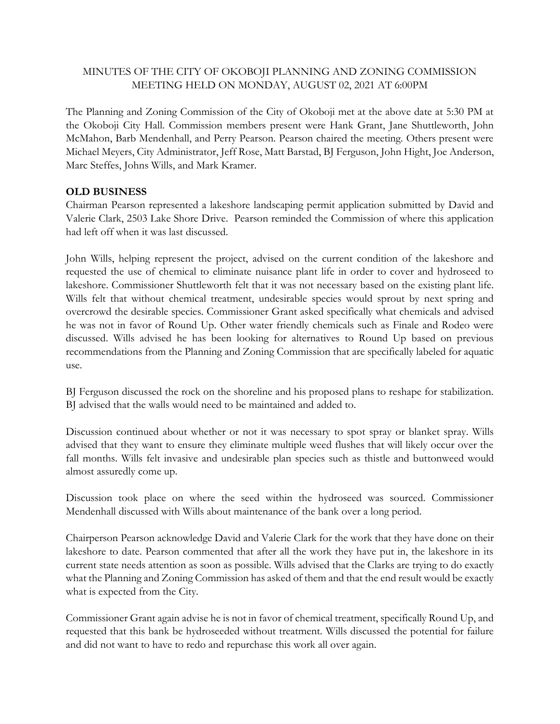## MINUTES OF THE CITY OF OKOBOJI PLANNING AND ZONING COMMISSION MEETING HELD ON MONDAY, AUGUST 02, 2021 AT 6:00PM

The Planning and Zoning Commission of the City of Okoboji met at the above date at 5:30 PM at the Okoboji City Hall. Commission members present were Hank Grant, Jane Shuttleworth, John McMahon, Barb Mendenhall, and Perry Pearson. Pearson chaired the meeting. Others present were Michael Meyers, City Administrator, Jeff Rose, Matt Barstad, BJ Ferguson, John Hight, Joe Anderson, Marc Steffes, Johns Wills, and Mark Kramer.

## **OLD BUSINESS**

Chairman Pearson represented a lakeshore landscaping permit application submitted by David and Valerie Clark, 2503 Lake Shore Drive. Pearson reminded the Commission of where this application had left off when it was last discussed.

John Wills, helping represent the project, advised on the current condition of the lakeshore and requested the use of chemical to eliminate nuisance plant life in order to cover and hydroseed to lakeshore. Commissioner Shuttleworth felt that it was not necessary based on the existing plant life. Wills felt that without chemical treatment, undesirable species would sprout by next spring and overcrowd the desirable species. Commissioner Grant asked specifically what chemicals and advised he was not in favor of Round Up. Other water friendly chemicals such as Finale and Rodeo were discussed. Wills advised he has been looking for alternatives to Round Up based on previous recommendations from the Planning and Zoning Commission that are specifically labeled for aquatic use.

BJ Ferguson discussed the rock on the shoreline and his proposed plans to reshape for stabilization. BJ advised that the walls would need to be maintained and added to.

Discussion continued about whether or not it was necessary to spot spray or blanket spray. Wills advised that they want to ensure they eliminate multiple weed flushes that will likely occur over the fall months. Wills felt invasive and undesirable plan species such as thistle and buttonweed would almost assuredly come up.

Discussion took place on where the seed within the hydroseed was sourced. Commissioner Mendenhall discussed with Wills about maintenance of the bank over a long period.

Chairperson Pearson acknowledge David and Valerie Clark for the work that they have done on their lakeshore to date. Pearson commented that after all the work they have put in, the lakeshore in its current state needs attention as soon as possible. Wills advised that the Clarks are trying to do exactly what the Planning and Zoning Commission has asked of them and that the end result would be exactly what is expected from the City.

Commissioner Grant again advise he is not in favor of chemical treatment, specifically Round Up, and requested that this bank be hydroseeded without treatment. Wills discussed the potential for failure and did not want to have to redo and repurchase this work all over again.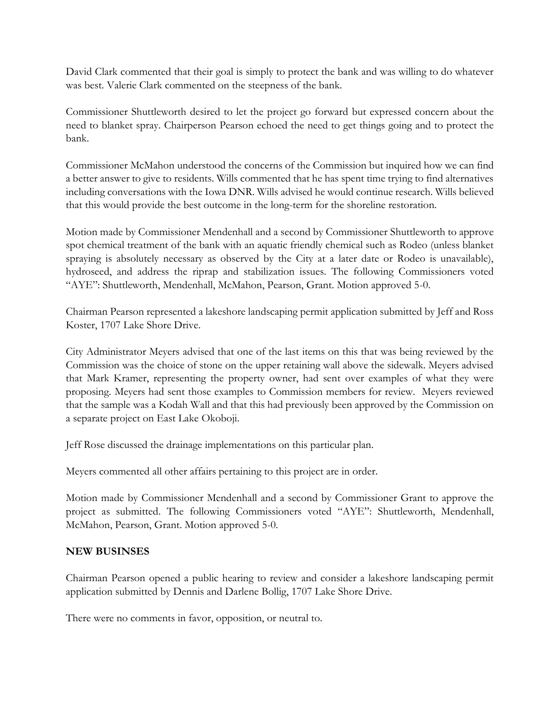David Clark commented that their goal is simply to protect the bank and was willing to do whatever was best. Valerie Clark commented on the steepness of the bank.

Commissioner Shuttleworth desired to let the project go forward but expressed concern about the need to blanket spray. Chairperson Pearson echoed the need to get things going and to protect the bank.

Commissioner McMahon understood the concerns of the Commission but inquired how we can find a better answer to give to residents. Wills commented that he has spent time trying to find alternatives including conversations with the Iowa DNR. Wills advised he would continue research. Wills believed that this would provide the best outcome in the long-term for the shoreline restoration.

Motion made by Commissioner Mendenhall and a second by Commissioner Shuttleworth to approve spot chemical treatment of the bank with an aquatic friendly chemical such as Rodeo (unless blanket spraying is absolutely necessary as observed by the City at a later date or Rodeo is unavailable), hydroseed, and address the riprap and stabilization issues. The following Commissioners voted "AYE": Shuttleworth, Mendenhall, McMahon, Pearson, Grant. Motion approved 5-0.

Chairman Pearson represented a lakeshore landscaping permit application submitted by Jeff and Ross Koster, 1707 Lake Shore Drive.

City Administrator Meyers advised that one of the last items on this that was being reviewed by the Commission was the choice of stone on the upper retaining wall above the sidewalk. Meyers advised that Mark Kramer, representing the property owner, had sent over examples of what they were proposing. Meyers had sent those examples to Commission members for review. Meyers reviewed that the sample was a Kodah Wall and that this had previously been approved by the Commission on a separate project on East Lake Okoboji.

Jeff Rose discussed the drainage implementations on this particular plan.

Meyers commented all other affairs pertaining to this project are in order.

Motion made by Commissioner Mendenhall and a second by Commissioner Grant to approve the project as submitted. The following Commissioners voted "AYE": Shuttleworth, Mendenhall, McMahon, Pearson, Grant. Motion approved 5-0.

## **NEW BUSINSES**

Chairman Pearson opened a public hearing to review and consider a lakeshore landscaping permit application submitted by Dennis and Darlene Bollig, 1707 Lake Shore Drive.

There were no comments in favor, opposition, or neutral to.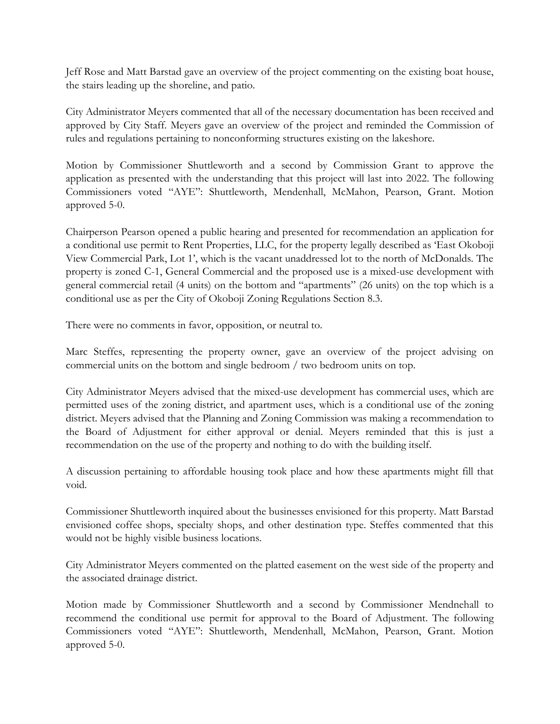Jeff Rose and Matt Barstad gave an overview of the project commenting on the existing boat house, the stairs leading up the shoreline, and patio.

City Administrator Meyers commented that all of the necessary documentation has been received and approved by City Staff. Meyers gave an overview of the project and reminded the Commission of rules and regulations pertaining to nonconforming structures existing on the lakeshore.

Motion by Commissioner Shuttleworth and a second by Commission Grant to approve the application as presented with the understanding that this project will last into 2022. The following Commissioners voted "AYE": Shuttleworth, Mendenhall, McMahon, Pearson, Grant. Motion approved 5-0.

Chairperson Pearson opened a public hearing and presented for recommendation an application for a conditional use permit to Rent Properties, LLC, for the property legally described as 'East Okoboji View Commercial Park, Lot 1', which is the vacant unaddressed lot to the north of McDonalds. The property is zoned C-1, General Commercial and the proposed use is a mixed-use development with general commercial retail (4 units) on the bottom and "apartments" (26 units) on the top which is a conditional use as per the City of Okoboji Zoning Regulations Section 8.3.

There were no comments in favor, opposition, or neutral to.

Marc Steffes, representing the property owner, gave an overview of the project advising on commercial units on the bottom and single bedroom / two bedroom units on top.

City Administrator Meyers advised that the mixed-use development has commercial uses, which are permitted uses of the zoning district, and apartment uses, which is a conditional use of the zoning district. Meyers advised that the Planning and Zoning Commission was making a recommendation to the Board of Adjustment for either approval or denial. Meyers reminded that this is just a recommendation on the use of the property and nothing to do with the building itself.

A discussion pertaining to affordable housing took place and how these apartments might fill that void.

Commissioner Shuttleworth inquired about the businesses envisioned for this property. Matt Barstad envisioned coffee shops, specialty shops, and other destination type. Steffes commented that this would not be highly visible business locations.

City Administrator Meyers commented on the platted easement on the west side of the property and the associated drainage district.

Motion made by Commissioner Shuttleworth and a second by Commissioner Mendnehall to recommend the conditional use permit for approval to the Board of Adjustment. The following Commissioners voted "AYE": Shuttleworth, Mendenhall, McMahon, Pearson, Grant. Motion approved 5-0.